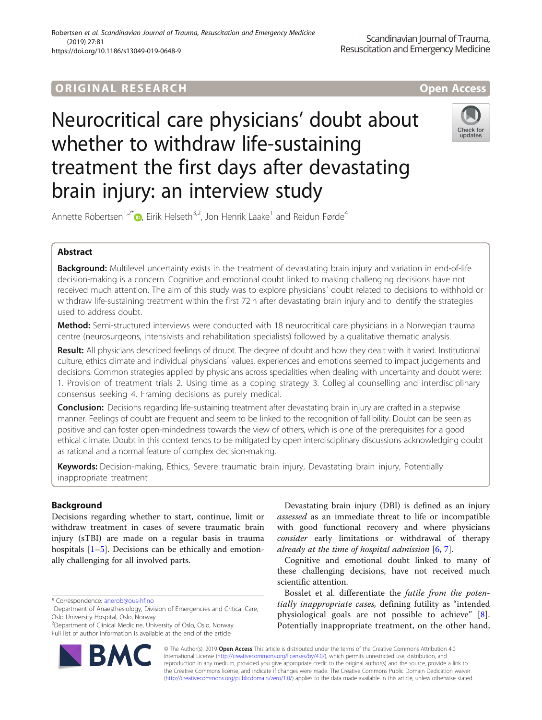# **ORIGINAL RESEARCH AND LOCAL CONSUMING A LOCAL CONSUMING A LOCAL CONSUMING A LOCAL CONSUMING A LOCAL CONSUMING**

# Neurocritical care physicians' doubt about whether to withdraw life-sustaining treatment the first days after devastating brain injury: an interview study



Annette Robertsen<sup>1,2[\\*](http://orcid.org/0000-0001-6621-9732)</sup> <sub>(b)</sub> Eirik Helseth<sup>3,2</sup>, Jon Henrik Laake<sup>1</sup> and Reidun Førde<sup>4</sup>

# Abstract

Background: Multilevel uncertainty exists in the treatment of devastating brain injury and variation in end-of-life decision-making is a concern. Cognitive and emotional doubt linked to making challenging decisions have not received much attention. The aim of this study was to explore physicians´ doubt related to decisions to withhold or withdraw life-sustaining treatment within the first 72 h after devastating brain injury and to identify the strategies used to address doubt.

**Method:** Semi-structured interviews were conducted with 18 neurocritical care physicians in a Norwegian trauma centre (neurosurgeons, intensivists and rehabilitation specialists) followed by a qualitative thematic analysis.

Result: All physicians described feelings of doubt. The degree of doubt and how they dealt with it varied. Institutional culture, ethics climate and individual physicians´ values, experiences and emotions seemed to impact judgements and decisions. Common strategies applied by physicians across specialities when dealing with uncertainty and doubt were: 1. Provision of treatment trials 2. Using time as a coping strategy 3. Collegial counselling and interdisciplinary consensus seeking 4. Framing decisions as purely medical.

**Conclusion:** Decisions regarding life-sustaining treatment after devastating brain injury are crafted in a stepwise manner. Feelings of doubt are frequent and seem to be linked to the recognition of fallibility. Doubt can be seen as positive and can foster open-mindedness towards the view of others, which is one of the prerequisites for a good ethical climate. Doubt in this context tends to be mitigated by open interdisciplinary discussions acknowledging doubt as rational and a normal feature of complex decision-making.

Keywords: Decision-making, Ethics, Severe traumatic brain injury, Devastating brain injury, Potentially inappropriate treatment

# Background

Decisions regarding whether to start, continue, limit or withdraw treatment in cases of severe traumatic brain injury (sTBI) are made on a regular basis in trauma hospitals  $[1–5]$  $[1–5]$  $[1–5]$  $[1–5]$ . Decisions can be ethically and emotionally challenging for all involved parts.

<sup>2</sup> Department of Clinical Medicine, University of Oslo, Oslo, Norway Full list of author information is available at the end of the article



Devastating brain injury (DBI) is defined as an injury assessed as an immediate threat to life or incompatible with good functional recovery and where physicians consider early limitations or withdrawal of therapy already at the time of hospital admission  $[6, 7]$  $[6, 7]$  $[6, 7]$  $[6, 7]$ .

Cognitive and emotional doubt linked to many of these challenging decisions, have not received much scientific attention.

Bosslet et al. differentiate the futile from the potentially inappropriate cases, defining futility as "intended physiological goals are not possible to achieve" [\[8](#page-7-0)]. Potentially inappropriate treatment, on the other hand,

© The Author(s). 2019 **Open Access** This article is distributed under the terms of the Creative Commons Attribution 4.0 International License [\(http://creativecommons.org/licenses/by/4.0/](http://creativecommons.org/licenses/by/4.0/)), which permits unrestricted use, distribution, and reproduction in any medium, provided you give appropriate credit to the original author(s) and the source, provide a link to the Creative Commons license, and indicate if changes were made. The Creative Commons Public Domain Dedication waiver [\(http://creativecommons.org/publicdomain/zero/1.0/](http://creativecommons.org/publicdomain/zero/1.0/)) applies to the data made available in this article, unless otherwise stated.

<sup>\*</sup> Correspondence: [anerob@ous-hf.no](mailto:anerob@ous-hf.no) <sup>1</sup>

<sup>&</sup>lt;sup>1</sup>Department of Anaesthesiology, Division of Emergencies and Critical Care, Oslo University Hospital, Oslo, Norway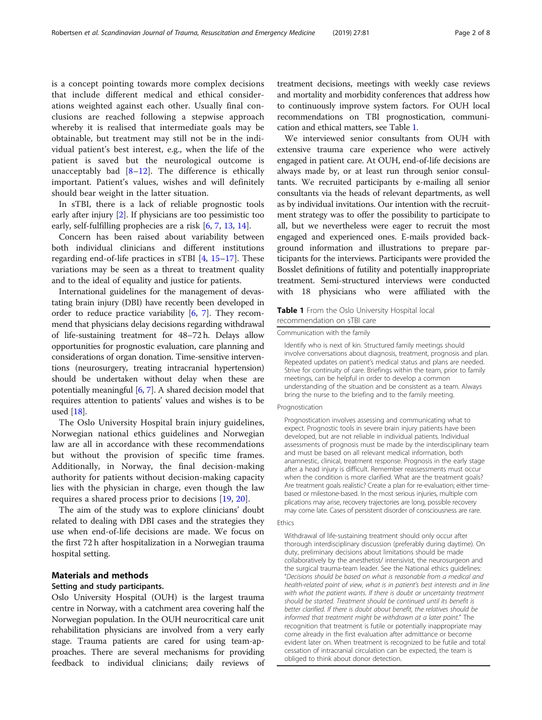is a concept pointing towards more complex decisions that include different medical and ethical considerations weighted against each other. Usually final conclusions are reached following a stepwise approach whereby it is realised that intermediate goals may be obtainable, but treatment may still not be in the individual patient's best interest, e.g., when the life of the patient is saved but the neurological outcome is unacceptably bad  $[8-12]$  $[8-12]$  $[8-12]$  $[8-12]$ . The difference is ethically important. Patient's values, wishes and will definitely should bear weight in the latter situation.

In sTBI, there is a lack of reliable prognostic tools early after injury [[2\]](#page-7-0). If physicians are too pessimistic too early, self-fulfilling prophecies are a risk [\[6,](#page-7-0) [7](#page-7-0), [13,](#page-7-0) [14\]](#page-7-0).

Concern has been raised about variability between both individual clinicians and different institutions regarding end-of-life practices in sTBI [\[4](#page-7-0), [15](#page-7-0)–[17](#page-7-0)]. These variations may be seen as a threat to treatment quality and to the ideal of equality and justice for patients.

International guidelines for the management of devastating brain injury (DBI) have recently been developed in order to reduce practice variability [\[6](#page-7-0), [7\]](#page-7-0). They recommend that physicians delay decisions regarding withdrawal of life-sustaining treatment for 48–72 h. Delays allow opportunities for prognostic evaluation, care planning and considerations of organ donation. Time-sensitive interventions (neurosurgery, treating intracranial hypertension) should be undertaken without delay when these are potentially meaningful [[6,](#page-7-0) [7\]](#page-7-0). A shared decision model that requires attention to patients' values and wishes is to be used [[18](#page-7-0)].

The Oslo University Hospital brain injury guidelines, Norwegian national ethics guidelines and Norwegian law are all in accordance with these recommendations but without the provision of specific time frames. Additionally, in Norway, the final decision-making authority for patients without decision-making capacity lies with the physician in charge, even though the law requires a shared process prior to decisions [\[19](#page-7-0), [20](#page-7-0)].

The aim of the study was to explore clinicians' doubt related to dealing with DBI cases and the strategies they use when end-of-life decisions are made. We focus on the first 72 h after hospitalization in a Norwegian trauma hospital setting.

# Materials and methods

#### Setting and study participants.

Oslo University Hospital (OUH) is the largest trauma centre in Norway, with a catchment area covering half the Norwegian population. In the OUH neurocritical care unit rehabilitation physicians are involved from a very early stage. Trauma patients are cared for using team-approaches. There are several mechanisms for providing feedback to individual clinicians; daily reviews of treatment decisions, meetings with weekly case reviews and mortality and morbidity conferences that address how to continuously improve system factors. For OUH local recommendations on TBI prognostication, communication and ethical matters, see Table 1.

We interviewed senior consultants from OUH with extensive trauma care experience who were actively engaged in patient care. At OUH, end-of-life decisions are always made by, or at least run through senior consultants. We recruited participants by e-mailing all senior consultants via the heads of relevant departments, as well as by individual invitations. Our intention with the recruitment strategy was to offer the possibility to participate to all, but we nevertheless were eager to recruit the most engaged and experienced ones. E-mails provided background information and illustrations to prepare participants for the interviews. Participants were provided the Bosslet definitions of futility and potentially inappropriate treatment. Semi-structured interviews were conducted with 18 physicians who were affiliated with the

# Table 1 From the Oslo University Hospital local recommendation on sTBI care

Communication with the family

Identify who is next of kin. Structured family meetings should involve conversations about diagnosis, treatment, prognosis and plan. Repeated updates on patient's medical status and plans are needed. Strive for continuity of care. Briefings within the team, prior to family meetings, can be helpful in order to develop a common understanding of the situation and be consistent as a team. Always bring the nurse to the briefing and to the family meeting.

# Prognostication

Prognostication involves assessing and communicating what to expect. Prognostic tools in severe brain injury patients have been developed, but are not reliable in individual patients. Individual assessments of prognosis must be made by the interdisciplinary team and must be based on all relevant medical information, both anamnestic, clinical, treatment response. Prognosis in the early stage after a head injury is difficult. Remember reassessments must occur when the condition is more clarified. What are the treatment goals? Are treatment goals realistic? Create a plan for re-evaluation; either timebased or milestone-based. In the most serious injuries, multiple com plications may arise, recovery trajectories are long, possible recovery may come late. Cases of persistent disorder of consciousness are rare.

# Ethics

Withdrawal of life-sustaining treatment should only occur after thorough interdisciplinary discussion (preferably during daytime). On duty, preliminary decisions about limitations should be made collaboratively by the anesthetist/ intensivist, the neurosurgeon and the surgical trauma-team leader. See the National ethics guidelines: "Decisions should be based on what is reasonable from a medical and health-related point of view, what is in patient's best interests and in line with what the patient wants. If there is doubt or uncertainty treatment should be started. Treatment should be continued until its benefit is better clarified. If there is doubt about benefit, the relatives should be informed that treatment might be withdrawn at a later point." The recognition that treatment is futile or potentially inappropriate may come already in the first evaluation after admittance or become evident later on. When treatment is recognized to be futile and total cessation of intracranial circulation can be expected, the team is obliged to think about donor detection.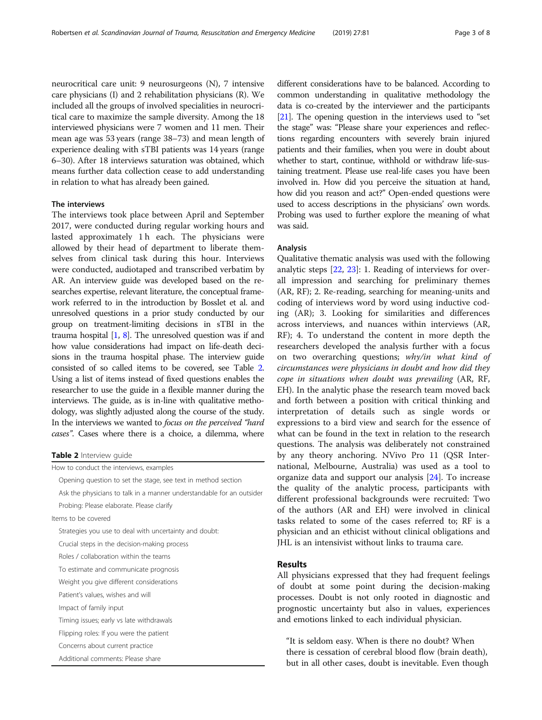neurocritical care unit: 9 neurosurgeons (N), 7 intensive care physicians (I) and 2 rehabilitation physicians (R). We included all the groups of involved specialities in neurocritical care to maximize the sample diversity. Among the 18 interviewed physicians were 7 women and 11 men. Their mean age was 53 years (range 38–73) and mean length of experience dealing with sTBI patients was 14 years (range 6–30). After 18 interviews saturation was obtained, which means further data collection cease to add understanding in relation to what has already been gained.

# The interviews

The interviews took place between April and September 2017, were conducted during regular working hours and lasted approximately 1 h each. The physicians were allowed by their head of department to liberate themselves from clinical task during this hour. Interviews were conducted, audiotaped and transcribed verbatim by AR. An interview guide was developed based on the researches expertise, relevant literature, the conceptual framework referred to in the introduction by Bosslet et al. and unresolved questions in a prior study conducted by our group on treatment-limiting decisions in sTBI in the trauma hospital [\[1,](#page-7-0) [8\]](#page-7-0). The unresolved question was if and how value considerations had impact on life-death decisions in the trauma hospital phase. The interview guide consisted of so called items to be covered, see Table 2. Using a list of items instead of fixed questions enables the researcher to use the guide in a flexible manner during the interviews. The guide, as is in-line with qualitative methodology, was slightly adjusted along the course of the study. In the interviews we wanted to focus on the perceived "hard cases". Cases where there is a choice, a dilemma, where

|  | Table 2 Interview quide |  |
|--|-------------------------|--|
|--|-------------------------|--|

How to conduct the interviews, examples

Opening question to set the stage, see text in method section

Ask the physicians to talk in a manner understandable for an outsider Probing: Please elaborate. Please clarify

Items to be covered

Strategies you use to deal with uncertainty and doubt:

Crucial steps in the decision-making process

Roles / collaboration within the teams

To estimate and communicate prognosis

Weight you give different considerations

Patient's values, wishes and will

Impact of family input

Timing issues; early vs late withdrawals

Flipping roles: If you were the patient

Concerns about current practice

Additional comments: Please share

different considerations have to be balanced. According to common understanding in qualitative methodology the data is co-created by the interviewer and the participants [[21](#page-7-0)]. The opening question in the interviews used to "set the stage" was: "Please share your experiences and reflections regarding encounters with severely brain injured patients and their families, when you were in doubt about whether to start, continue, withhold or withdraw life-sustaining treatment. Please use real-life cases you have been involved in. How did you perceive the situation at hand, how did you reason and act?" Open-ended questions were used to access descriptions in the physicians' own words. Probing was used to further explore the meaning of what was said.

# Analysis

Qualitative thematic analysis was used with the following analytic steps [\[22,](#page-7-0) [23](#page-7-0)]: 1. Reading of interviews for overall impression and searching for preliminary themes (AR, RF); 2. Re-reading, searching for meaning-units and coding of interviews word by word using inductive coding (AR); 3. Looking for similarities and differences across interviews, and nuances within interviews (AR, RF); 4. To understand the content in more depth the researchers developed the analysis further with a focus on two overarching questions; why/in what kind of circumstances were physicians in doubt and how did they cope in situations when doubt was prevailing (AR, RF, EH). In the analytic phase the research team moved back and forth between a position with critical thinking and interpretation of details such as single words or expressions to a bird view and search for the essence of what can be found in the text in relation to the research questions. The analysis was deliberately not constrained by any theory anchoring. NVivo Pro 11 (QSR International, Melbourne, Australia) was used as a tool to organize data and support our analysis [[24\]](#page-7-0). To increase the quality of the analytic process, participants with different professional backgrounds were recruited: Two of the authors (AR and EH) were involved in clinical tasks related to some of the cases referred to; RF is a physician and an ethicist without clinical obligations and JHL is an intensivist without links to trauma care.

# Results

All physicians expressed that they had frequent feelings of doubt at some point during the decision-making processes. Doubt is not only rooted in diagnostic and prognostic uncertainty but also in values, experiences and emotions linked to each individual physician.

"It is seldom easy. When is there no doubt? When there is cessation of cerebral blood flow (brain death), but in all other cases, doubt is inevitable. Even though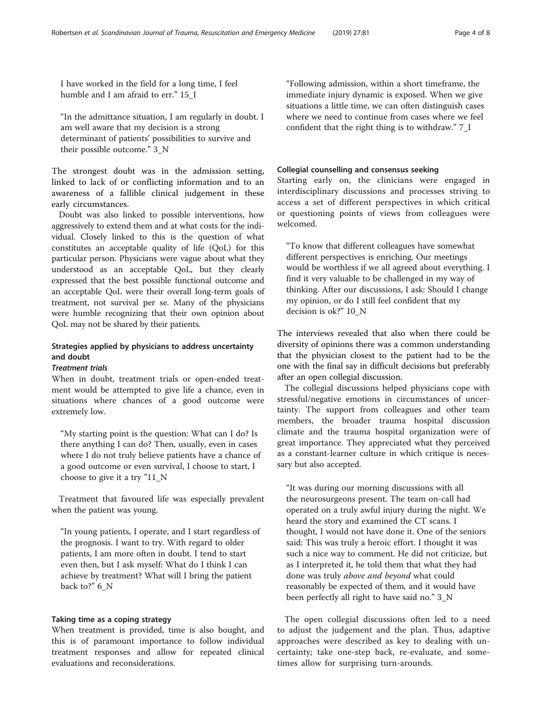I have worked in the field for a long time, I feel humble and I am afraid to err." 15\_I

"In the admittance situation, I am regularly in doubt. I am well aware that my decision is a strong determinant of patients' possibilities to survive and their possible outcome." 3\_N

The strongest doubt was in the admission setting, linked to lack of or conflicting information and to an awareness of a fallible clinical judgement in these early circumstances.

Doubt was also linked to possible interventions, how aggressively to extend them and at what costs for the individual. Closely linked to this is the question of what constitutes an acceptable quality of life (QoL) for this particular person. Physicians were vague about what they understood as an acceptable QoL, but they clearly expressed that the best possible functional outcome and an acceptable QoL were their overall long-term goals of treatment, not survival per se. Many of the physicians were humble recognizing that their own opinion about QoL may not be shared by their patients.

# Strategies applied by physicians to address uncertainty and doubt

# Treatment trials

When in doubt, treatment trials or open-ended treatment would be attempted to give life a chance, even in situations where chances of a good outcome were extremely low.

"My starting point is the question: What can I do? Is there anything I can do? Then, usually, even in cases where I do not truly believe patients have a chance of a good outcome or even survival, I choose to start, I choose to give it a try "11\_N

Treatment that favoured life was especially prevalent when the patient was young.

"In young patients, I operate, and I start regardless of the prognosis. I want to try. With regard to older patients, I am more often in doubt. I tend to start even then, but I ask myself: What do I think I can achieve by treatment? What will I bring the patient back to?" 6\_N

# Taking time as a coping strategy

When treatment is provided, time is also bought, and this is of paramount importance to follow individual treatment responses and allow for repeated clinical evaluations and reconsiderations.

"Following admission, within a short timeframe, the immediate injury dynamic is exposed. When we give situations a little time, we can often distinguish cases where we need to continue from cases where we feel confident that the right thing is to withdraw." 7\_I

# Collegial counselling and consensus seeking

Starting early on, the clinicians were engaged in interdisciplinary discussions and processes striving to access a set of different perspectives in which critical or questioning points of views from colleagues were welcomed.

"To know that different colleagues have somewhat different perspectives is enriching. Our meetings would be worthless if we all agreed about everything. I find it very valuable to be challenged in my way of thinking. After our discussions, I ask: Should I change my opinion, or do I still feel confident that my decision is ok?" 10\_N

The interviews revealed that also when there could be diversity of opinions there was a common understanding that the physician closest to the patient had to be the one with the final say in difficult decisions but preferably after an open collegial discussion.

The collegial discussions helped physicians cope with stressful/negative emotions in circumstances of uncertainty. The support from colleagues and other team members, the broader trauma hospital discussion climate and the trauma hospital organization were of great importance. They appreciated what they perceived as a constant-learner culture in which critique is necessary but also accepted.

"It was during our morning discussions with all the neurosurgeons present. The team on-call had operated on a truly awful injury during the night. We heard the story and examined the CT scans. I thought, I would not have done it. One of the seniors said: This was truly a heroic effort. I thought it was such a nice way to comment. He did not criticize, but as I interpreted it, he told them that what they had done was truly above and beyond what could reasonably be expected of them, and it would have been perfectly all right to have said no." 3\_N

The open collegial discussions often led to a need to adjust the judgement and the plan. Thus, adaptive approaches were described as key to dealing with uncertainty; take one-step back, re-evaluate, and sometimes allow for surprising turn-arounds.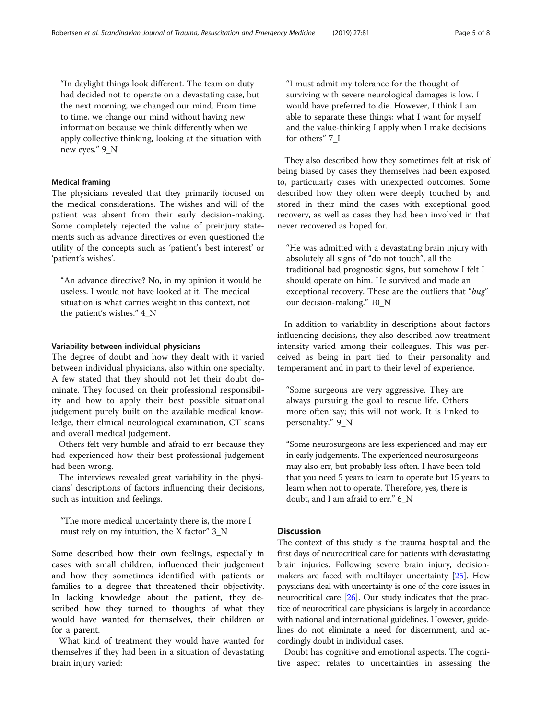"In daylight things look different. The team on duty had decided not to operate on a devastating case, but the next morning, we changed our mind. From time to time, we change our mind without having new information because we think differently when we apply collective thinking, looking at the situation with new eyes." 9\_N

# Medical framing

The physicians revealed that they primarily focused on the medical considerations. The wishes and will of the patient was absent from their early decision-making. Some completely rejected the value of preinjury statements such as advance directives or even questioned the utility of the concepts such as 'patient's best interest' or 'patient's wishes'.

"An advance directive? No, in my opinion it would be useless. I would not have looked at it. The medical situation is what carries weight in this context, not the patient's wishes." 4\_N

# Variability between individual physicians

The degree of doubt and how they dealt with it varied between individual physicians, also within one specialty. A few stated that they should not let their doubt dominate. They focused on their professional responsibility and how to apply their best possible situational judgement purely built on the available medical knowledge, their clinical neurological examination, CT scans and overall medical judgement.

Others felt very humble and afraid to err because they had experienced how their best professional judgement had been wrong.

The interviews revealed great variability in the physicians' descriptions of factors influencing their decisions, such as intuition and feelings.

"The more medical uncertainty there is, the more I must rely on my intuition, the X factor" 3\_N

Some described how their own feelings, especially in cases with small children, influenced their judgement and how they sometimes identified with patients or families to a degree that threatened their objectivity. In lacking knowledge about the patient, they described how they turned to thoughts of what they would have wanted for themselves, their children or for a parent.

What kind of treatment they would have wanted for themselves if they had been in a situation of devastating brain injury varied:

"I must admit my tolerance for the thought of surviving with severe neurological damages is low. I would have preferred to die. However, I think I am able to separate these things; what I want for myself and the value-thinking I apply when I make decisions for others" 7\_I

They also described how they sometimes felt at risk of being biased by cases they themselves had been exposed to, particularly cases with unexpected outcomes. Some described how they often were deeply touched by and stored in their mind the cases with exceptional good recovery, as well as cases they had been involved in that never recovered as hoped for.

"He was admitted with a devastating brain injury with absolutely all signs of "do not touch", all the traditional bad prognostic signs, but somehow I felt I should operate on him. He survived and made an exceptional recovery. These are the outliers that "bug" our decision-making." 10\_N

In addition to variability in descriptions about factors influencing decisions, they also described how treatment intensity varied among their colleagues. This was perceived as being in part tied to their personality and temperament and in part to their level of experience.

"Some surgeons are very aggressive. They are always pursuing the goal to rescue life. Others more often say; this will not work. It is linked to personality." 9\_N

"Some neurosurgeons are less experienced and may err in early judgements. The experienced neurosurgeons may also err, but probably less often. I have been told that you need 5 years to learn to operate but 15 years to learn when not to operate. Therefore, yes, there is doubt, and I am afraid to err." 6\_N

# Discussion

The context of this study is the trauma hospital and the first days of neurocritical care for patients with devastating brain injuries. Following severe brain injury, decisionmakers are faced with multilayer uncertainty [\[25\]](#page-7-0). How physicians deal with uncertainty is one of the core issues in neurocritical care [\[26\]](#page-7-0). Our study indicates that the practice of neurocritical care physicians is largely in accordance with national and international guidelines. However, guidelines do not eliminate a need for discernment, and accordingly doubt in individual cases.

Doubt has cognitive and emotional aspects. The cognitive aspect relates to uncertainties in assessing the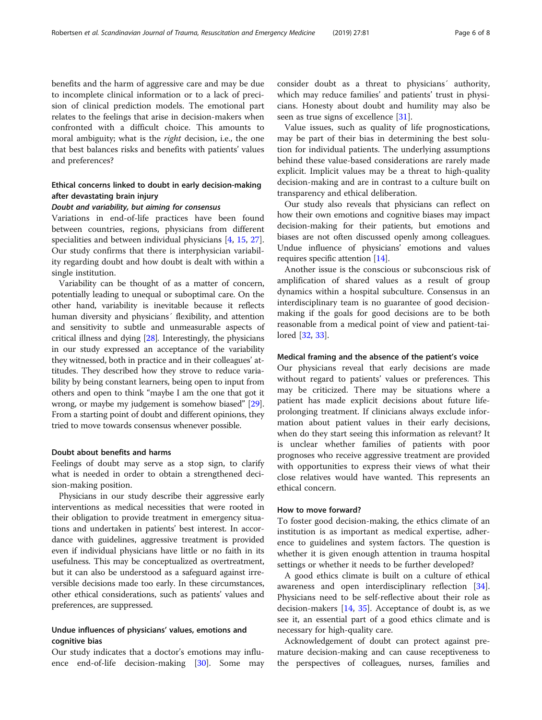benefits and the harm of aggressive care and may be due to incomplete clinical information or to a lack of precision of clinical prediction models. The emotional part relates to the feelings that arise in decision-makers when confronted with a difficult choice. This amounts to moral ambiguity; what is the *right* decision, i.e., the one that best balances risks and benefits with patients' values and preferences?

# Ethical concerns linked to doubt in early decision-making after devastating brain injury

# Doubt and variability, but aiming for consensus

Variations in end-of-life practices have been found between countries, regions, physicians from different specialities and between individual physicians [\[4](#page-7-0), [15](#page-7-0), [27](#page-7-0)]. Our study confirms that there is interphysician variability regarding doubt and how doubt is dealt with within a single institution.

Variability can be thought of as a matter of concern, potentially leading to unequal or suboptimal care. On the other hand, variability is inevitable because it reflects human diversity and physicians' flexibility, and attention and sensitivity to subtle and unmeasurable aspects of critical illness and dying [[28](#page-7-0)]. Interestingly, the physicians in our study expressed an acceptance of the variability they witnessed, both in practice and in their colleagues' attitudes. They described how they strove to reduce variability by being constant learners, being open to input from others and open to think "maybe I am the one that got it wrong, or maybe my judgement is somehow biased" [[29](#page-7-0)]. From a starting point of doubt and different opinions, they tried to move towards consensus whenever possible.

# Doubt about benefits and harms

Feelings of doubt may serve as a stop sign, to clarify what is needed in order to obtain a strengthened decision-making position.

Physicians in our study describe their aggressive early interventions as medical necessities that were rooted in their obligation to provide treatment in emergency situations and undertaken in patients' best interest. In accordance with guidelines, aggressive treatment is provided even if individual physicians have little or no faith in its usefulness. This may be conceptualized as overtreatment, but it can also be understood as a safeguard against irreversible decisions made too early. In these circumstances, other ethical considerations, such as patients' values and preferences, are suppressed.

# Undue influences of physicians' values, emotions and cognitive bias

Our study indicates that a doctor's emotions may influence end-of-life decision-making [[30\]](#page-7-0). Some may consider doubt as a threat to physicians´ authority, which may reduce families' and patients' trust in physicians. Honesty about doubt and humility may also be seen as true signs of excellence [\[31](#page-7-0)].

Value issues, such as quality of life prognostications, may be part of their bias in determining the best solution for individual patients. The underlying assumptions behind these value-based considerations are rarely made explicit. Implicit values may be a threat to high-quality decision-making and are in contrast to a culture built on transparency and ethical deliberation.

Our study also reveals that physicians can reflect on how their own emotions and cognitive biases may impact decision-making for their patients, but emotions and biases are not often discussed openly among colleagues. Undue influence of physicians' emotions and values requires specific attention [[14](#page-7-0)].

Another issue is the conscious or subconscious risk of amplification of shared values as a result of group dynamics within a hospital subculture. Consensus in an interdisciplinary team is no guarantee of good decisionmaking if the goals for good decisions are to be both reasonable from a medical point of view and patient-tailored [[32,](#page-7-0) [33\]](#page-7-0).

# Medical framing and the absence of the patient's voice

Our physicians reveal that early decisions are made without regard to patients' values or preferences. This may be criticized. There may be situations where a patient has made explicit decisions about future lifeprolonging treatment. If clinicians always exclude information about patient values in their early decisions, when do they start seeing this information as relevant? It is unclear whether families of patients with poor prognoses who receive aggressive treatment are provided with opportunities to express their views of what their close relatives would have wanted. This represents an ethical concern.

# How to move forward?

To foster good decision-making, the ethics climate of an institution is as important as medical expertise, adherence to guidelines and system factors. The question is whether it is given enough attention in trauma hospital settings or whether it needs to be further developed?

A good ethics climate is built on a culture of ethical awareness and open interdisciplinary reflection [\[34](#page-7-0)]. Physicians need to be self-reflective about their role as decision-makers  $[14, 35]$  $[14, 35]$  $[14, 35]$ . Acceptance of doubt is, as we see it, an essential part of a good ethics climate and is necessary for high-quality care.

Acknowledgement of doubt can protect against premature decision-making and can cause receptiveness to the perspectives of colleagues, nurses, families and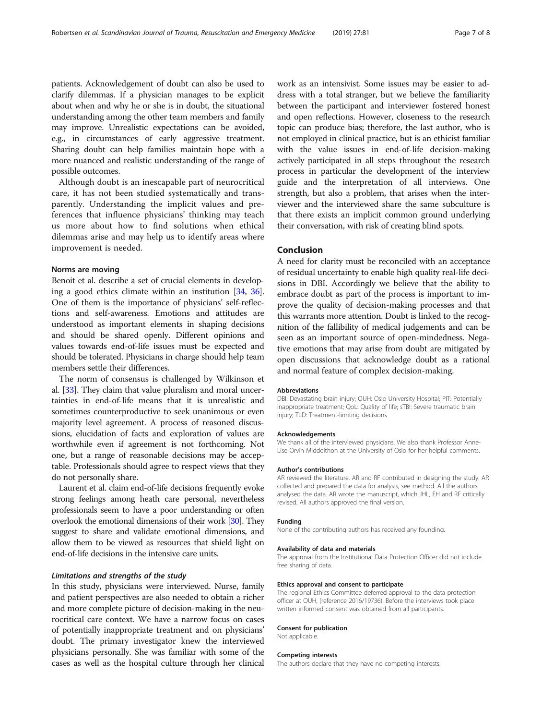patients. Acknowledgement of doubt can also be used to clarify dilemmas. If a physician manages to be explicit about when and why he or she is in doubt, the situational understanding among the other team members and family may improve. Unrealistic expectations can be avoided, e.g., in circumstances of early aggressive treatment. Sharing doubt can help families maintain hope with a more nuanced and realistic understanding of the range of possible outcomes.

Although doubt is an inescapable part of neurocritical care, it has not been studied systematically and transparently. Understanding the implicit values and preferences that influence physicians' thinking may teach us more about how to find solutions when ethical dilemmas arise and may help us to identify areas where improvement is needed.

# Norms are moving

Benoit et al. describe a set of crucial elements in developing a good ethics climate within an institution [[34](#page-7-0), [36](#page-7-0)]. One of them is the importance of physicians' self-reflections and self-awareness. Emotions and attitudes are understood as important elements in shaping decisions and should be shared openly. Different opinions and values towards end-of-life issues must be expected and should be tolerated. Physicians in charge should help team members settle their differences.

The norm of consensus is challenged by Wilkinson et al. [[33](#page-7-0)]. They claim that value pluralism and moral uncertainties in end-of-life means that it is unrealistic and sometimes counterproductive to seek unanimous or even majority level agreement. A process of reasoned discussions, elucidation of facts and exploration of values are worthwhile even if agreement is not forthcoming. Not one, but a range of reasonable decisions may be acceptable. Professionals should agree to respect views that they do not personally share.

Laurent et al. claim end-of-life decisions frequently evoke strong feelings among heath care personal, nevertheless professionals seem to have a poor understanding or often overlook the emotional dimensions of their work [\[30\]](#page-7-0). They suggest to share and validate emotional dimensions, and allow them to be viewed as resources that shield light on end-of-life decisions in the intensive care units.

# Limitations and strengths of the study

In this study, physicians were interviewed. Nurse, family and patient perspectives are also needed to obtain a richer and more complete picture of decision-making in the neurocritical care context. We have a narrow focus on cases of potentially inappropriate treatment and on physicians' doubt. The primary investigator knew the interviewed physicians personally. She was familiar with some of the cases as well as the hospital culture through her clinical work as an intensivist. Some issues may be easier to address with a total stranger, but we believe the familiarity between the participant and interviewer fostered honest and open reflections. However, closeness to the research topic can produce bias; therefore, the last author, who is not employed in clinical practice, but is an ethicist familiar with the value issues in end-of-life decision-making actively participated in all steps throughout the research process in particular the development of the interview guide and the interpretation of all interviews. One strength, but also a problem, that arises when the interviewer and the interviewed share the same subculture is that there exists an implicit common ground underlying their conversation, with risk of creating blind spots.

# Conclusion

A need for clarity must be reconciled with an acceptance of residual uncertainty to enable high quality real-life decisions in DBI. Accordingly we believe that the ability to embrace doubt as part of the process is important to improve the quality of decision-making processes and that this warrants more attention. Doubt is linked to the recognition of the fallibility of medical judgements and can be seen as an important source of open-mindedness. Negative emotions that may arise from doubt are mitigated by open discussions that acknowledge doubt as a rational and normal feature of complex decision-making.

#### **Abbreviations**

DBI: Devastating brain injury; OUH: Oslo University Hospital; PIT: Potentially inappropriate treatment; QoL: Quality of life; sTBI: Severe traumatic brain injury; TLD: Treatment-limiting decisions

#### Acknowledgements

We thank all of the interviewed physicians. We also thank Professor Anne-Lise Orvin Middelthon at the University of Oslo for her helpful comments.

#### Author's contributions

AR reviewed the literature. AR and RF contributed in designing the study. AR collected and prepared the data for analysis, see method. All the authors analysed the data. AR wrote the manuscript, which JHL, EH and RF critically revised. All authors approved the final version.

# Funding

None of the contributing authors has received any founding.

# Availability of data and materials

The approval from the Institutional Data Protection Officer did not include free sharing of data.

# Ethics approval and consent to participate

The regional Ethics Committee deferred approval to the data protection officer at OUH, (reference 2016/19736). Before the interviews took place written informed consent was obtained from all participants.

# Consent for publication

Not applicable.

#### Competing interests

The authors declare that they have no competing interests.